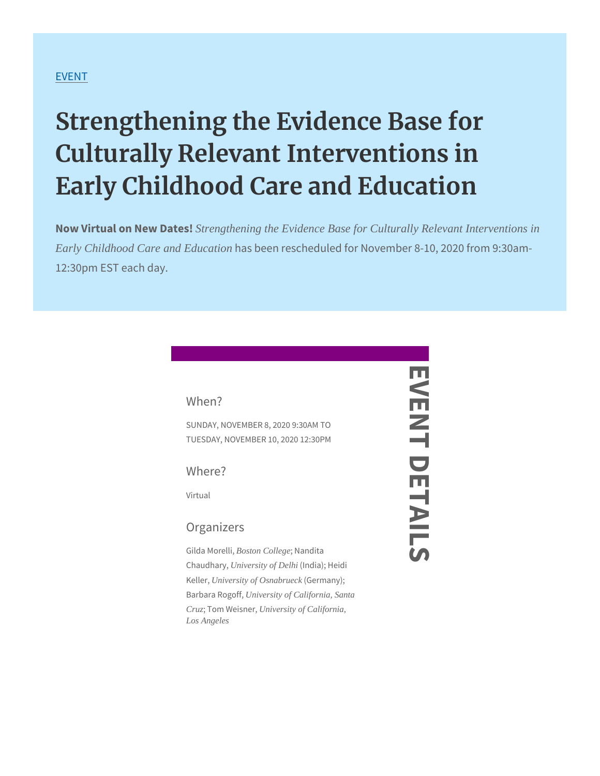## [EVE](https://www.srcd.org/events)NT

## Strengthening the Evidence Base Culturally Relevant Interventions Early Childhood Care and Educa

Now Virtual on NStrengthening the Evidence Base for Culturally Relevant Interventions in Early Childhood Care and Education has been rescheduled for November 8-10, 2020 12:30pm EST each day.

When?

SUNDAY, NOVEMBER 8,02020 9:30AM TUESDAY, NOVEMBER 10, 2020 12:30 PM

Where?

Virtual

Organizers

Gilda M Boston iCollege; Nandita ChaudhLaniversity of Delhi (India); Heidi  $K$ ellerniversity of Osnabrueck (Germany); Barbara RJoingersity, of California, Santa Cruz; Tom WeUniversity of California, Los Angeles

EVENT DETAILS Z  $\overline{\mathbf{C}}$  $\Box$ TAIL  $\overline{O}$ 

Ш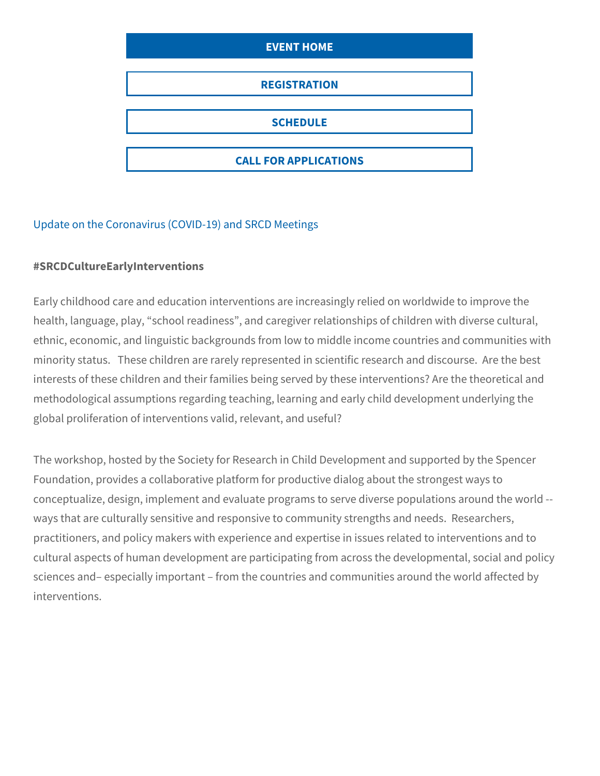

## [Update on the Coronavirus \(COVID](https://www.srcd.org/news/update-coronavirus-covid-19-and-srcd-meetings)-19) and SRCD Meetings

#SRCDCultureEarlyInterventions

Early childhood care and education interventions are increasingly r health, language, play, school readiness, and caregiver relations! ethnic, economic, and linguistic backgrounds from low to middle ind minority status. These children are rarely represented in scientifi interests of these children and their families being served by these methodological assumptions regarding teaching, learning and early global proliferation of interventions valid, relevant, and useful?

The workshop, hosted by the Society for Research in Child Develop Foundation, provides a collaborative platform for productive dialog conceptualize, design, implement and evaluate programs to serve d ways that are culturally sensitive and responsive to community stre practitioners, and policy makers with experience and expertise in is cultural aspects of human development are participating from acros sciences and especially important from the countries and commun interventions.